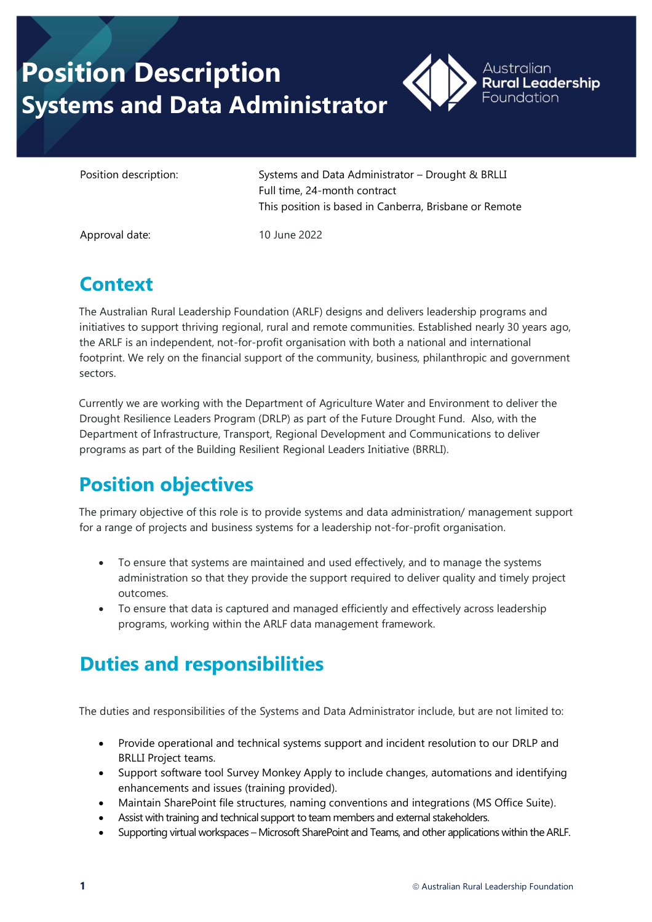# **Position Description Systems and Data Administrator**



Position description: Systems and Data Administrator – Drought & BRLLI Full time, 24-month contract This position is based in Canberra, Brisbane or Remote

Approval date: 10 June 2022

## **Context**

The Australian Rural Leadership Foundation (ARLF) designs and delivers leadership programs and initiatives to support thriving regional, rural and remote communities. Established nearly 30 years ago, the ARLF is an independent, not-for-profit organisation with both a national and international footprint. We rely on the financial support of the community, business, philanthropic and government sectors.

Currently we are working with the Department of Agriculture Water and Environment to deliver the Drought Resilience Leaders Program (DRLP) as part of the Future Drought Fund. Also, with the Department of Infrastructure, Transport, Regional Development and Communications to deliver programs as part of the Building Resilient Regional Leaders Initiative (BRRLI).

## **Position objectives**

The primary objective of this role is to provide systems and data administration/ management support for a range of projects and business systems for a leadership not-for-profit organisation.

- To ensure that systems are maintained and used effectively, and to manage the systems administration so that they provide the support required to deliver quality and timely project outcomes.
- To ensure that data is captured and managed efficiently and effectively across leadership programs, working within the ARLF data management framework.

## **Duties and responsibilities**

The duties and responsibilities of the Systems and Data Administrator include, but are not limited to:

- Provide operational and technical systems support and incident resolution to our DRLP and BRLLI Project teams.
- Support software tool Survey Monkey Apply to include changes, automations and identifying enhancements and issues (training provided).
- Maintain SharePoint file structures, naming conventions and integrations (MS Office Suite).
- Assist with training and technical support to team members and external stakeholders.
- Supporting virtual workspaces Microsoft SharePoint and Teams, and other applications within the ARLF.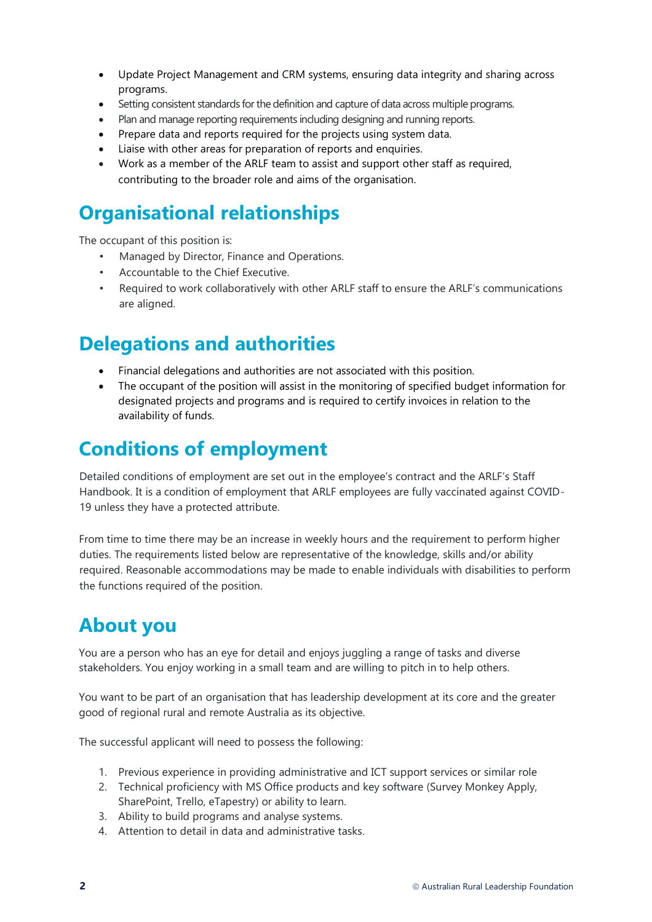- Update Project Management and CRM systems, ensuring data integrity and sharing across programs.
- Setting consistent standards for the definition and capture of data across multiple programs.
- Plan and manage reporting requirements including designing and running reports.
- Prepare data and reports required for the projects using system data.
- Liaise with other areas for preparation of reports and enquiries.
- Work as a member of the ARLF team to assist and support other staff as required, contributing to the broader role and aims of the organisation.

### **Organisational relationships**

The occupant of this position is:

- Managed by Director, Finance and Operations.
- Accountable to the Chief Executive.
- Required to work collaboratively with other ARLF staff to ensure the ARLF's communications are aligned.

#### **Delegations and authorities**

- Financial delegations and authorities are not associated with this position.
- The occupant of the position will assist in the monitoring of specified budget information for designated projects and programs and is required to certify invoices in relation to the availability of funds.

#### **Conditions of employment**

Detailed conditions of employment are set out in the employee's contract and the ARLF's Staff Handbook. It is a condition of employment that ARLF employees are fully vaccinated against COVID-19 unless they have a protected attribute.

From time to time there may be an increase in weekly hours and the requirement to perform higher duties. The requirements listed below are representative of the knowledge, skills and/or ability required. Reasonable accommodations may be made to enable individuals with disabilities to perform the functions required of the position.

#### **About you**

You are a person who has an eye for detail and enjoys juggling a range of tasks and diverse stakeholders. You enjoy working in a small team and are willing to pitch in to help others.

You want to be part of an organisation that has leadership development at its core and the greater good of regional rural and remote Australia as its objective.

The successful applicant will need to possess the following:

- 1. Previous experience in providing administrative and ICT support services or similar role
- 2. Technical proficiency with MS Office products and key software (Survey Monkey Apply, SharePoint, Trello, eTapestry) or ability to learn.
- 3. Ability to build programs and analyse systems.
- 4. Attention to detail in data and administrative tasks.